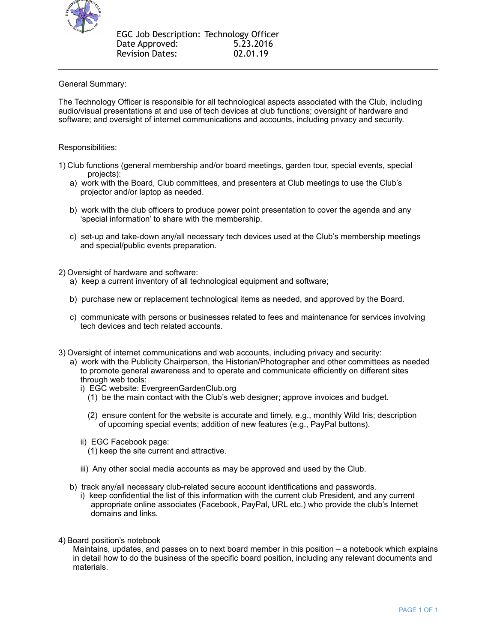

## General Summary:

The Technology Officer is responsible for all technological aspects associated with the Club, including audio/visual presentations at and use of tech devices at club functions; oversight of hardware and software; and oversight of internet communications and accounts, including privacy and security.

## Responsibilities:

- 1) Club functions (general membership and/or board meetings, garden tour, special events, special projects):
	- a) work with the Board, Club committees, and presenters at Club meetings to use the Club's projector and/or laptop as needed.
	- b) work with the club officers to produce power point presentation to cover the agenda and any 'special information' to share with the membership.
	- c) set-up and take-down any/all necessary tech devices used at the Club's membership meetings and special/public events preparation.
- 2) Oversight of hardware and software:
	- a) keep a current inventory of all technological equipment and software;
	- b) purchase new or replacement technological items as needed, and approved by the Board.
	- c) communicate with persons or businesses related to fees and maintenance for services involving tech devices and tech related accounts.
- 3) Oversight of internet communications and web accounts, including privacy and security:
	- a) work with the Publicity Chairperson, the Historian/Photographer and other committees as needed to promote general awareness and to operate and communicate efficiently on different sites through web tools:
		- i) EGC website: EvergreenGardenClub.org
			- (1) be the main contact with the Club's web designer; approve invoices and budget.
			- (2) ensure content for the website is accurate and timely, e.g., monthly Wild Iris; description of upcoming special events; addition of new features (e.g., PayPal buttons).
		- ii) EGC Facebook page:
		- (1) keep the site current and attractive.
		- iii) Any other social media accounts as may be approved and used by the Club.
	- b) track any/all necessary club-related secure account identifications and passwords.
		- i) keep confidential the list of this information with the current club President, and any current appropriate online associates (Facebook, PayPal, URL etc.) who provide the club's Internet domains and links.
- 4) Board position's notebook

Maintains, updates, and passes on to next board member in this position – a notebook which explains in detail how to do the business of the specific board position, including any relevant documents and materials.